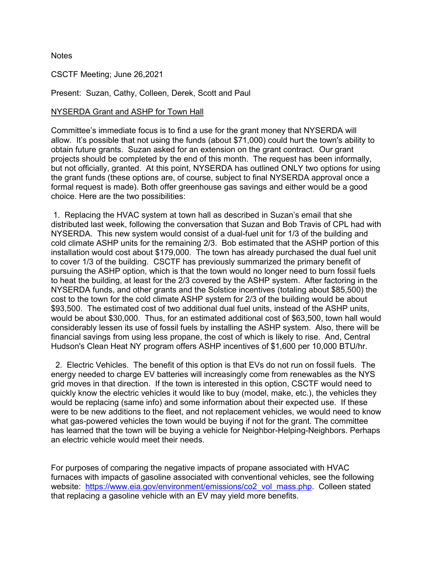**Notes** 

CSCTF Meeting; June 26,2021

Present: Suzan, Cathy, Colleen, Derek, Scott and Paul

## NYSERDA Grant and ASHP for Town Hall

Committee's immediate focus is to find a use forthe grant money that NYSERDA will allow. It's possible that not using the funds (about \$71,000) could hurt the town's ability to obtain future grants. Suzan asked for an extension on the grant contract. Our grant projects should be completed by the end of this month. The request has been informally, but not officially, granted. At this point, NYSERDA has outlined ONLY two options for using the grant funds (these options are, of course, subject to final NYSERDA approval once a formal request is made). Both offer greenhouse gas savings and either would be a good choice. Here are the two possibilities:

1. Replacing the HVAC system at town hall as described in Suzan's email that she distributed last week, following the conversation that Suzan and Bob Travis of CPL had with NYSERDA. This new system would consist of a dual-fuel unit for 1/3 of the building and cold climate ASHP units for the remaining 2/3. Bob estimated that the ASHP portion of this installation would cost about \$179,000. The town has already purchased the dual fuel unit to cover 1/3 of the building. CSCTF has previously summarized the primary benefit of pursuing the ASHP option, which is that the town would no longer need to burn fossil fuels to heat the building, at least for the 2/3 covered by the ASHP system. After factoring in the NYSERDA funds, and other grants and the Solstice incentives (totaling about \$85,500) the cost to the town for the cold climate ASHP system for 2/3 of the building would be about \$93,500. The estimated cost of two additional dual fuel units, instead of the ASHP units, would be about \$30,000. Thus, for an estimated additional cost of \$63,500, town hall would considerably lessen its use of fossil fuels by installing the ASHP system. Also, there will be financial savings from using less propane, the cost of which is likely to rise. And, Central Hudson's Clean Heat NY program offers ASHP incentives of \$1,600 per 10,000 BTU/hr.

2. Electric Vehicles. The benefit of this option is that EVs do not run on fossil fuels. The energy needed to charge EV batteries will increasingly come from renewables as the NYS grid moves in that direction. If the town is interested in this option, CSCTF would need to quickly know the electric vehicles it would like to buy (model, make, etc.), the vehicles they would be replacing (same info) and some information about their expected use. If these were to be new additions to the fleet, and not replacement vehicles, we would need to know what gas-powered vehicles the town would be buying if not for the grant. The committee has learned that the town will be buying a vehicle for Neighbor-Helping-Neighbors. Perhaps an electric vehicle would meet their needs.

For purposes of comparing the negative impacts of propane associated with HVAC furnaces with impacts of gasoline associated with conventional vehicles, see the following website: [https://www.eia.gov/environment/emissions/co2\\_vol\\_mass.php](https://urldefense.proofpoint.com/v2/url?u=https-3A__www.eia.gov_environment_emissions_co2-5Fvol-5Fmass.php&d=DwMGaQ&c=euGZstcaTDllvimEN8b7jXrwqOf-v5A_CdpgnVfiiMM&r=gss-R1-inpDqxrZ32e2zfw&m=RPFhjYqrhwhslid21CWqA0-1o-3xAobIHhxhTMr5d9w&s=hAdpoZcqglkDtFKYnBhpsnDJSVi5qMVErn7FvfFNLA4&e=). Colleen stated that replacing a gasoline vehicle with an EV may yield more benefits.